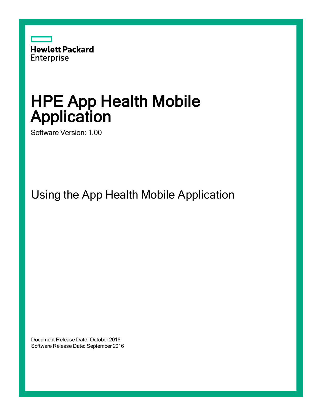

# HPE App Health Mobile Application

Software Version: 1.00

Using the App Health Mobile Application

Document Release Date: October 2016 Software Release Date: September 2016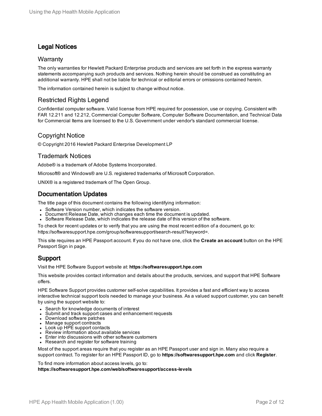### Legal Notices

#### **Warranty**

The only warranties for Hewlett Packard Enterprise products and services are set forth in the express warranty statements accompanying such products and services. Nothing herein should be construed as constituting an additional warranty. HPE shall not be liable for technical or editorial errors or omissions contained herein.

The information contained herein is subject to change without notice.

### Restricted Rights Legend

Confidential computer software. Valid license from HPE required for possession, use or copying. Consistent with FAR 12.211 and 12.212, Commercial Computer Software, Computer Software Documentation, and Technical Data for Commercial Items are licensed to the U.S. Government under vendor's standard commercial license.

### Copyright Notice

© Copyright 2016 Hewlett Packard Enterprise Development LP

### Trademark Notices

Adobe® is a trademark of Adobe Systems Incorporated.

Microsoft® and Windows® are U.S. registered trademarks of Microsoft Corporation.

UNIX® is a registered trademark of The Open Group.

### Documentation Updates

The title page of this document contains the following identifying information:

- Software Version number, which indicates the software version.
- Document Release Date, which changes each time the document is updated.
- Software Release Date, which indicates the release date of this version of the software.

To check for recent updates or to verify that you are using the most recent edition of a document, go to: https://softwaresupport.hpe.com/group/softwaresupport/search-result?keyword=.

This site requires an HPE Passport account. If you do not have one, click the **Create an account** button on the HPE Passport Sign in page.

### Support

Visit the HPE Software Support website at: **https://softwaresupport.hpe.com**

This website provides contact information and details about the products, services, and support that HPE Software offers.

HPE Software Support provides customer self-solve capabilities. It provides a fast and efficient way to access interactive technical support tools needed to manage your business. As a valued support customer, you can benefit by using the support website to:

- Search for knowledge documents of interest
- Submit and track support cases and enhancement requests
- Download software patches
- Manage support contracts
- Look up HPE support contacts
- Review information about available services
- Enter into discussions with other software customers
- Research and register for software training

Most of the support areas require that you register as an HPE Passport user and sign in. Many also require a support contract. To register for an HPE Passport ID, go to **https://softwaresupport.hpe.com** and click **Register**.

To find more information about access levels, go to:

**https://softwaresupport.hpe.com/web/softwaresupport/access-levels**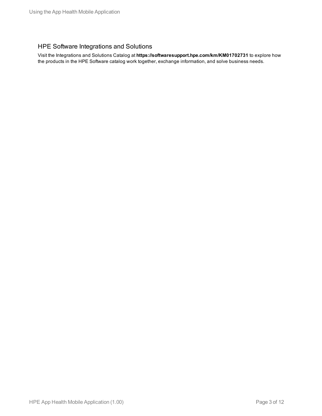### HPE Software Integrations and Solutions

Visit the Integrations and Solutions Catalog at **https://softwaresupport.hpe.com/km/KM01702731** to explore how the products in the HPE Software catalog work together, exchange information, and solve business needs.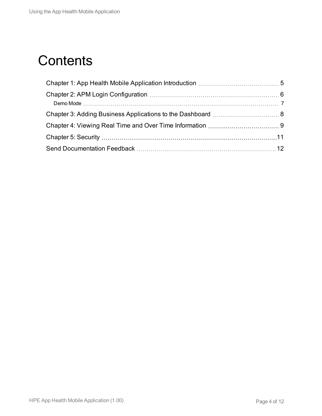## **Contents**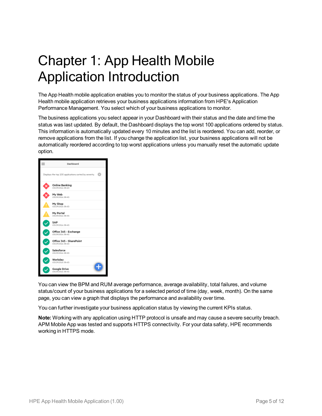# <span id="page-4-0"></span>Chapter 1: App Health Mobile Application Introduction

The App Health mobile application enables you to monitor the status of your business applications. The App Health mobile application retrieves your business applications information from HPE's Application Performance Management. You select which of your business applications to monitor.

The business applications you select appear in your Dashboard with their status and the date and time the status was last updated. By default, the Dashboard displays the top worst 100 applications ordered by status. This information is automatically updated every 10 minutes and the list is reordered. You can add, reorder, or remove applications from the list. If you change the application list, your business applications will not be automatically reordered according to top worst applications unless you manually reset the automatic update option.



You can view the BPM and RUM average performance, average availability, total failures, and volume status/count of your business applications for a selected period of time (day, week, month). On the same page, you can view a graph that displays the performance and availability over time.

You can further investigate your business application status by viewing the current KPIs status.

**Note:** Working with any application using HTTP protocol is unsafe and may cause a severe security breach. APM Mobile App was tested and supports HTTPS connectivity. For your data safety, HPE recommends working in HTTPS mode.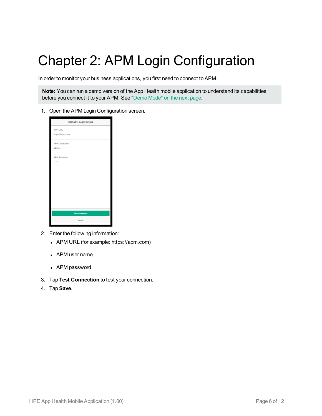# <span id="page-5-0"></span>Chapter 2: APM Login Configuration

In order to monitor your business applications, you first need to connect to APM.

**Note:** You can run a demo version of the App Health mobile application to understand its capabilities before you connect it to your APM. See ["Demo](#page-6-0) Mode" on the next page.

1. Open the APM Login Configuration screen.



- 2. Enter the following information:
	- APM URL (for example: https://apm.com)
	- APM user name
	- APM password
- 3. Tap **Test Connection** to test your connection.
- 4. Tap **Save**.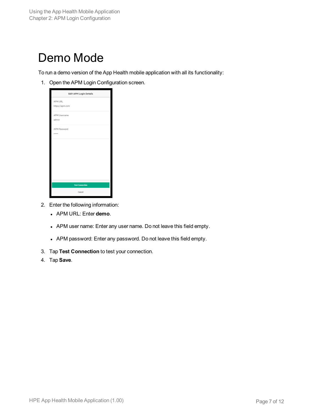### <span id="page-6-0"></span>Demo Mode

To run a demo version of the App Health mobile application with all its functionality:

1. Open the APM Login Configuration screen.

| Edit APM Login Details     |
|----------------------------|
| APM URL<br>https://apm.com |
| APM Username<br>admin      |
| APM Password<br>*****      |
|                            |
|                            |
|                            |
| <b>Test Connection</b>     |
| Cancel                     |

- 2. Enter the following information:
	- <sup>l</sup> APM URL: Enter **demo**.
	- APM user name: Enter any user name. Do not leave this field empty.
	- APM password: Enter any password. Do not leave this field empty.
- 3. Tap **Test Connection** to test your connection.
- 4. Tap **Save**.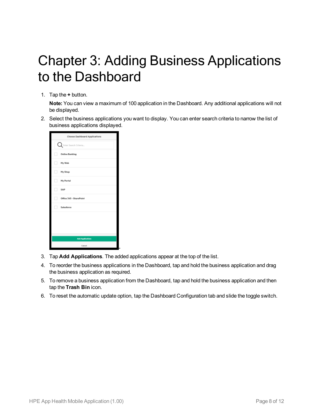## <span id="page-7-0"></span>Chapter 3: Adding Business Applications to the Dashboard

1. Tap the **+** button.

**Note:** You can view a maximum of 100 application in the Dashboard. Any additional applications will not be displayed.

2. Select the business applications you want to display. You can enter search criteria to narrow the list of business applications displayed.

| <b>Choose Dashboard Applications</b> |
|--------------------------------------|
| Enter Search Criteria                |
| <b>Online Banking</b>                |
| My Web                               |
| My Shop                              |
| My Portal                            |
| SAP                                  |
| Office 365 - SharePoint              |
| Salesforce                           |
|                                      |
|                                      |
| <b>Add Applications</b>              |
| Cancell                              |

- 3. Tap **Add Applications**. The added applications appear at the top of the list.
- 4. To reorder the business applications in the Dashboard, tap and hold the business application and drag the business application as required.
- 5. To remove a business application from the Dashboard, tap and hold the business application and then tap the **Trash Bin** icon.
- 6. To reset the automatic update option, tap the Dashboard Configuration tab and slide the toggle switch.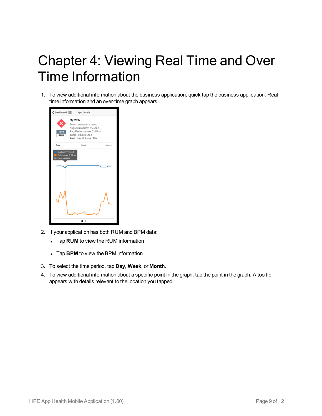# <span id="page-8-0"></span>Chapter 4: Viewing Real Time and Over Time Information

1. To view additional information about the business application, quick tap the business application. Real time information and an over-time graph appears.



- 2. If your application has both RUM and BPM data:
	- Tap **RUM** to view the RUM information
	- Tap **BPM** to view the BPM information
- 3. To select the time period, tap **Day**, **Week**, or **Month**.
- 4. To view additional information about a specific point in the graph, tap the point in the graph. A tooltip appears with details relevant to the location you tapped.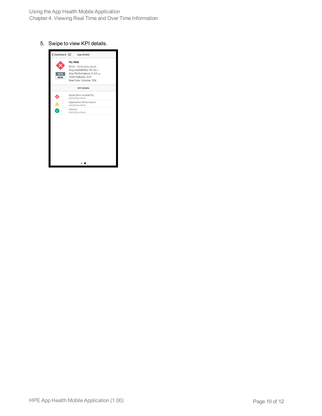#### 5. Swipe to view KPI details.

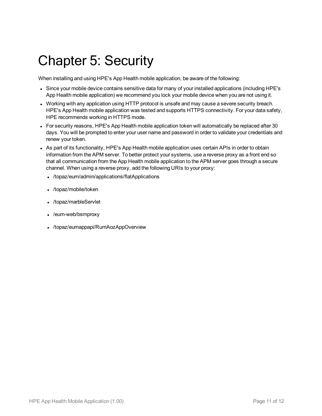### <span id="page-10-0"></span>Chapter 5: Security

When installing and using HPE's App Health mobile application, be aware of the following:

- Since your mobile device contains sensitive data for many of your installed applications (including HPE's App Health mobile application) we recommend you lock your mobile device when you are not using it.
- Working with any application using HTTP protocol is unsafe and may cause a severe security breach. HPE's App Health mobile application was tested and supports HTTPS connectivity. For your data safety, HPE recommends working in HTTPS mode.
- For security reasons, HPE's App Health mobile application token will automatically be replaced after 30 days. You will be prompted to enter your user name and password in order to validate your credentials and renew your token.
- As part of its functionality, HPE's App Health mobile application uses certain APIs in order to obtain information from the APM server. To better protect your systems, use a reverse proxy as a front end so that all communication from the App Health mobile application to the APM server goes through a secure channel. When using a reverse proxy, add the following URIs to your proxy:
	- /topaz/eum/admin/applications/flatApplications
	- /topaz/mobile/token
	- /topaz/marbleServlet
	- /eum-web/bsmproxy
	- /topaz/eumappapi/RumAozAppOverview